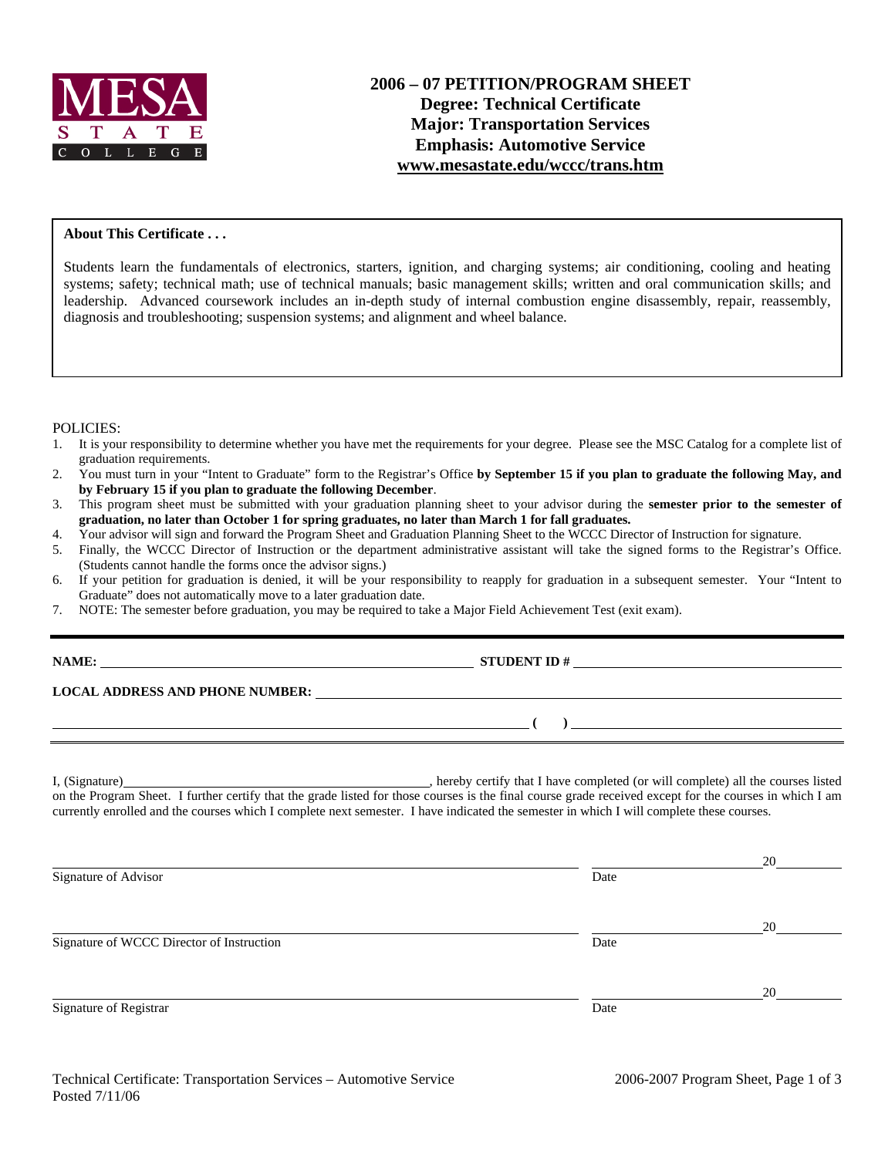

### **About This Certificate . . .**

Students learn the fundamentals of electronics, starters, ignition, and charging systems; air conditioning, cooling and heating systems; safety; technical math; use of technical manuals; basic management skills; written and oral communication skills; and leadership. Advanced coursework includes an in-depth study of internal combustion engine disassembly, repair, reassembly, diagnosis and troubleshooting; suspension systems; and alignment and wheel balance.

#### POLICIES:

- 1. It is your responsibility to determine whether you have met the requirements for your degree. Please see the MSC Catalog for a complete list of graduation requirements.
- 2. You must turn in your "Intent to Graduate" form to the Registrar's Office **by September 15 if you plan to graduate the following May, and by February 15 if you plan to graduate the following December**.
- 3. This program sheet must be submitted with your graduation planning sheet to your advisor during the **semester prior to the semester of graduation, no later than October 1 for spring graduates, no later than March 1 for fall graduates.**
- 4. Your advisor will sign and forward the Program Sheet and Graduation Planning Sheet to the WCCC Director of Instruction for signature.
- 5. Finally, the WCCC Director of Instruction or the department administrative assistant will take the signed forms to the Registrar's Office. (Students cannot handle the forms once the advisor signs.)
- 6. If your petition for graduation is denied, it will be your responsibility to reapply for graduation in a subsequent semester. Your "Intent to Graduate" does not automatically move to a later graduation date.

**STUDENT ID #** 

 **( )** 

7. NOTE: The semester before graduation, you may be required to take a Major Field Achievement Test (exit exam).

**LOCAL ADDRESS AND PHONE NUMBER:**

I, (Signature) , hereby certify that I have completed (or will complete) all the courses listed on the Program Sheet. I further certify that the grade listed for those courses is the final course grade received except for the courses in which I am currently enrolled and the courses which I complete next semester. I have indicated the semester in which I will complete these courses.

|      | 20 |
|------|----|
| Date |    |
|      | 20 |
| Date |    |
|      | 20 |
| Date |    |
|      |    |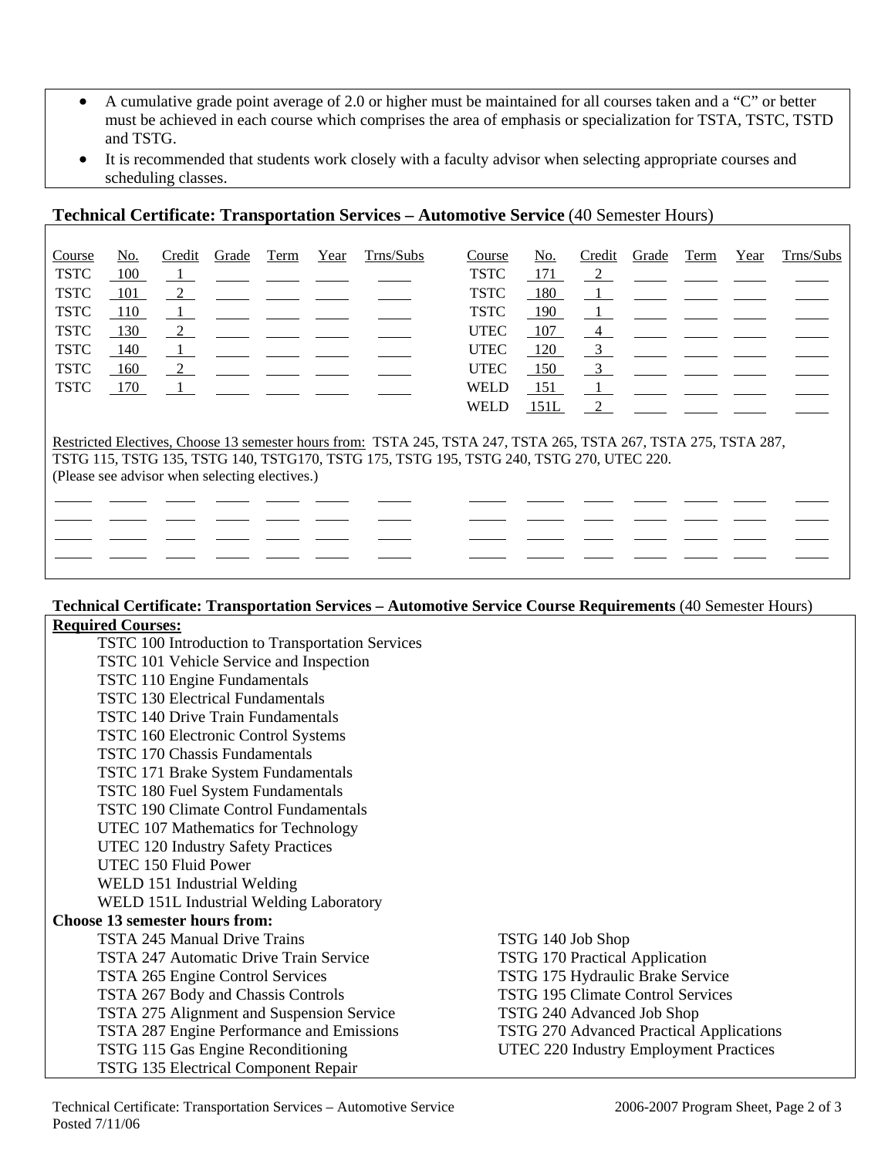- A cumulative grade point average of 2.0 or higher must be maintained for all courses taken and a "C" or better must be achieved in each course which comprises the area of emphasis or specialization for TSTA, TSTC, TSTD and TSTG.
- It is recommended that students work closely with a faculty advisor when selecting appropriate courses and scheduling classes.

## **Technical Certificate: Transportation Services – Automotive Service** (40 Semester Hours)

| Course                                                                                                           | No.   | Credit         | Grade | Term | Year | Trns/Subs | Course      | No.  | Credit         | Grade | Term                                                                                                            | Year | Trns/Subs |
|------------------------------------------------------------------------------------------------------------------|-------|----------------|-------|------|------|-----------|-------------|------|----------------|-------|-----------------------------------------------------------------------------------------------------------------|------|-----------|
| <b>TSTC</b>                                                                                                      | 100   |                |       |      |      |           | <b>TSTC</b> | 171  | $\overline{2}$ |       |                                                                                                                 |      |           |
| <b>TSTC</b>                                                                                                      | - 101 |                |       |      |      |           | <b>TSTC</b> | 180  |                |       | <u> 1980 - Jan James James Jan James James Jan James James Jan James James Jan James James Jan Jan James Ja</u> |      |           |
| <b>TSTC</b>                                                                                                      | 110   |                |       |      |      |           | <b>TSTC</b> | 190  |                |       |                                                                                                                 |      |           |
| <b>TSTC</b>                                                                                                      | 130   | $\overline{2}$ |       |      |      |           | <b>UTEC</b> | 107  | 4              |       |                                                                                                                 |      |           |
| <b>TSTC</b>                                                                                                      | 140   |                |       |      |      |           | <b>UTEC</b> | 120  | $\frac{3}{2}$  |       |                                                                                                                 |      |           |
| <b>TSTC</b>                                                                                                      | 160   | $\overline{2}$ |       |      |      |           | <b>UTEC</b> | 150  | $\frac{3}{2}$  |       |                                                                                                                 |      |           |
| <b>TSTC</b>                                                                                                      | 170   |                |       |      |      |           | <b>WELD</b> | 151  |                |       |                                                                                                                 |      |           |
|                                                                                                                  |       |                |       |      |      |           | <b>WELD</b> | 151L | 2              |       |                                                                                                                 |      |           |
|                                                                                                                  |       |                |       |      |      |           |             |      |                |       |                                                                                                                 |      |           |
| Restricted Electives, Choose 13 semester hours from: TSTA 245, TSTA 247, TSTA 265, TSTA 267, TSTA 275, TSTA 287, |       |                |       |      |      |           |             |      |                |       |                                                                                                                 |      |           |
| TSTG 115, TSTG 135, TSTG 140, TSTG170, TSTG 175, TSTG 195, TSTG 240, TSTG 270, UTEC 220.                         |       |                |       |      |      |           |             |      |                |       |                                                                                                                 |      |           |

(Please see advisor when selecting electives.)

 $\ddot{\phantom{a}}$   $\ddot{\phantom{a}}$ 

#### **Technical Certificate: Transportation Services – Automotive Service Course Requirements** (40 Semester Hours) **Required Courses:**

| TSTC 100 Introduction to Transportation Services |                                          |
|--------------------------------------------------|------------------------------------------|
| TSTC 101 Vehicle Service and Inspection          |                                          |
| TSTC 110 Engine Fundamentals                     |                                          |
| <b>TSTC 130 Electrical Fundamentals</b>          |                                          |
| <b>TSTC 140 Drive Train Fundamentals</b>         |                                          |
| TSTC 160 Electronic Control Systems              |                                          |
| <b>TSTC 170 Chassis Fundamentals</b>             |                                          |
| TSTC 171 Brake System Fundamentals               |                                          |
| TSTC 180 Fuel System Fundamentals                |                                          |
| <b>TSTC 190 Climate Control Fundamentals</b>     |                                          |
| UTEC 107 Mathematics for Technology              |                                          |
| UTEC 120 Industry Safety Practices               |                                          |
| UTEC 150 Fluid Power                             |                                          |
| WELD 151 Industrial Welding                      |                                          |
| WELD 151L Industrial Welding Laboratory          |                                          |
| <b>Choose 13 semester hours from:</b>            |                                          |
| TSTA 245 Manual Drive Trains                     | TSTG 140 Job Shop                        |
| TSTA 247 Automatic Drive Train Service           | <b>TSTG 170 Practical Application</b>    |
| TSTA 265 Engine Control Services                 | TSTG 175 Hydraulic Brake Service         |
| TSTA 267 Body and Chassis Controls               | <b>TSTG 195 Climate Control Services</b> |
| TSTA 275 Alignment and Suspension Service        | TSTG 240 Advanced Job Shop               |
| TSTA 287 Engine Performance and Emissions        | TSTG 270 Advanced Practical Applications |
| TSTG 115 Gas Engine Reconditioning               | UTEC 220 Industry Employment Practices   |
| TSTG 135 Electrical Component Repair             |                                          |